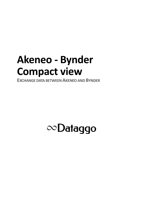## **Akeneo - Bynder Compact view**

**EXCHANGE DATA BETWEEN AKENEO AND BYNDER** 

## $\infty$ Dataggo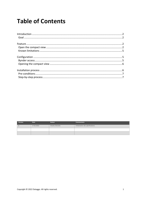### **Table of Contents**

| Version | <b>Date</b> | Auteur                 | Commentaire                       |
|---------|-------------|------------------------|-----------------------------------|
|         | 17.03.2022  | <b>Charles Derache</b> | Initialisation des spécifications |
|         |             |                        |                                   |
|         |             |                        |                                   |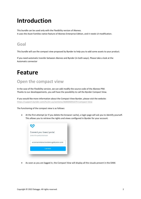## <span id="page-2-0"></span>**Introduction**

This bundle can be used only with the Flexibility version of Akeneo. It uses the Asset Families native feature of Akeneo Enterprise Edition, and it needs UI modification.

#### <span id="page-2-1"></span>**Goal**

This bundle will use the compact view proposed by Bynder to help you to add some assets to your product.

If you need automatic transfer between Akeneo and Bynder (in both ways). Please take a look at the Automatic connector

### <span id="page-2-2"></span>**Feature**

#### <span id="page-2-3"></span>**Open the compact view**

In the case of the Flexibility version, we can add modify the source code of the Akeneo PIM. Thanks to our developpements, you will have the possibility to call the Bynder Compact View.

If you would like more information about the Compact View Bynder, please visit the website: <https://support.bynder.com/hc/en-us/sections/360004091079-Compact-View>

The functioning of the compact view is as follows:

• At the first attempt (or if you delete the browser cache), a login page will ask you to identify yourself. This allows you to retrieve the rights and views configured in Bynder for your account.



• As soon as you are logged in, the Compact View will display all the visuals present in the DAM.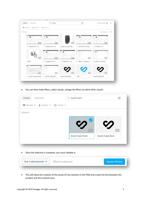| $\frac{1}{2}$ Espaces $\sqrt{1-\frac{1}{2}}$ Avancé $\sqrt{1-\frac{1}{2}}$<br>Marques - |                         |                        |                         |                                   |     |
|-----------------------------------------------------------------------------------------|-------------------------|------------------------|-------------------------|-----------------------------------|-----|
| 15 fichiers                                                                             |                         |                        |                         | Date d'ajout $\blacktriangledown$ | $=$ |
|                                                                                         |                         | JPEG                   |                         | 42                                |     |
| 3 - Compact View - FR                                                                   | 3 - Compact View - EN   | support-de-smartpho    | 2 - Use of the connecto | 2 - Utilisation - FR              |     |
| <b>JPEG</b>                                                                             |                         | A.                     | MP4                     | MP4                               |     |
| 58526                                                                                   | 1 - Configuration - FR  | 1 - Configuration - EN | 1 - Akeneo - Configurat | 4 - Akeneo - Associatio           |     |
| 赏<br>$\mathcal{L}_{\mathbf{z}}$                                                         | 関6<br>MP4               | PNG                    | EPS                     | <b>PNG</b>                        |     |
| 2 - Bynder - Import Visuel                                                              | 3 - Bynder - Associatio | Bynder Glyph Black     | Web                     | Bynder Glyph Black                |     |

• You can then make filters, select visuals, change the filters to select other visuals.

| Fichiers<br>Collections                                                                                                             | $Q$ bynder black                 |                                  |
|-------------------------------------------------------------------------------------------------------------------------------------|----------------------------------|----------------------------------|
| <b>In Marques <math>\blacktriangledown</math> i</b> Espaces $\blacktriangledown$ <b>i</b> $\frac{1}{2}$ Avancé $\blacktriangledown$ |                                  |                                  |
| 2 fichiers                                                                                                                          |                                  |                                  |
|                                                                                                                                     |                                  |                                  |
|                                                                                                                                     |                                  |                                  |
|                                                                                                                                     | <b>PNG</b><br>Bynder Glyph Black | <b>PNG</b><br>Bynder Glyph Black |
|                                                                                                                                     |                                  |                                  |
|                                                                                                                                     |                                  |                                  |
| Once the selection is complete, you must validate it.<br>$\bullet$                                                                  |                                  |                                  |

| Voir 2 sélectionnés $\bullet$ | Effacer la sélection | Ajouter fichiers |
|-------------------------------|----------------------|------------------|
|                               |                      |                  |

• This will allow the creation of the assets (if non-existent in the PIM) and create the link between the product and the created asset.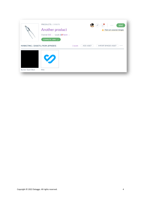|                                  | <b>PRODUCTS / 190878</b><br>Another product<br>Channel: D2C $\vee$ Locale: <b>I</b> French $\vee$<br>COMPLETE: 100% $\searrow$ |          |                  | <b>SAVE</b><br>0.0.0<br>There are unsaved changes. |  |
|----------------------------------|--------------------------------------------------------------------------------------------------------------------------------|----------|------------------|----------------------------------------------------|--|
| MARKETING / [ASSETS_FROM_BYNDER] |                                                                                                                                | 2 assets | <b>ADD ASSET</b> | <b>IMPORT BYNDER ASSET</b><br>$+ + +$              |  |
| Bynder Glyph Black               | $\boldsymbol{\mathcal{O}}$<br>Web                                                                                              |          |                  |                                                    |  |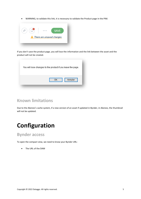• WARNING, to validate this link, it is necessary to validate the Product page in the PIM.



If you don't save the product page, you will lose the information and the link between the asset and the product will not be created.

| You will lose changes to the product if you leave the page. |  |
|-------------------------------------------------------------|--|
| Annuler<br>OK                                               |  |

#### <span id="page-5-0"></span>**Known limitations**

Due to the Akeneo's cache system, if a new version of an asset if updated in Bynder, in Akeneo, the thumbnail will not be updated.

## <span id="page-5-1"></span>**Configuration**

#### <span id="page-5-2"></span>**Bynder access**

To open the compact view, we need to know your Bynder URL:

• The URL of the DAM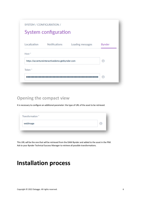| SYSTEM / CONFIGURATION / | System configuration                           |                  |               |
|--------------------------|------------------------------------------------|------------------|---------------|
| Localization             | Notifications                                  | Loading messages | <b>Bynder</b> |
| Host <sup>*</sup>        | https://accentureinteractivedemo.getbynder.com |                  | a             |
| Token <sup>*</sup>       | .                                              |                  | a             |

#### <span id="page-6-0"></span>**Opening the compact view**

It is necessary to configure an additional parameter: the type of URL of the asset to be retrieved.

| webImage |  | п |
|----------|--|---|

This URL will be the one that will be retrieved from the DAM Bynder and added to the asset in the PIM. Ask to your Bynder Technical Success Manager to retrieve all possible transformations.

### <span id="page-6-1"></span>**Installation process**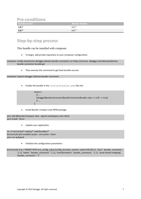<span id="page-7-0"></span>

| <b>Pre-conditions</b> |                |
|-----------------------|----------------|
| <b>Bundle version</b> | Akeneo Version |
| $1.0.*$               | $5.0.*$        |
| $2.0.*$               | $6.0.*$        |

#### <span id="page-7-1"></span>**Step-by-step process**

This bundle can be installed with composer.

• To begin, add private repository to your composer configuration.

composer config repositories.dataggo-akeneo-bynder-connector vcs https://sources. dataggo.com/akeneo/akeneobynder-connector-bundle.git

• Then execute the command to get back bundle sources.

```
composer require dataggo /akeneo-bynder-connector
```
• Enable the bundle in the config/bundles.php like this:

return [ // ... Dataggo\BynderConnector\BynderConnectorBundle::class => ['all' => true] // ... ];

• Install Bynder compact view NPM package:

```
yarn add @bynder/compact-view --ignore-workspace-root-check
yarn install --force
```
• Update your application.

rm -rf var/cache/\* web/js/\* web/bundles/\* bin/console pim:installer:assets --env=prod --clean yarn run webpack

• Initialize the configuration parameters

bin/console d:q:s "INSERT INTO oro\_config\_value (config\_id,name, section, value) VALUES (1, 'host', 'bynder\_connector', ''), (1, 'token', 'bynder\_connector', ''), (1, 'transformation', 'bynder\_connector', ''), (1, 'asset-family-mapping', 'bynder\_connector', '')"